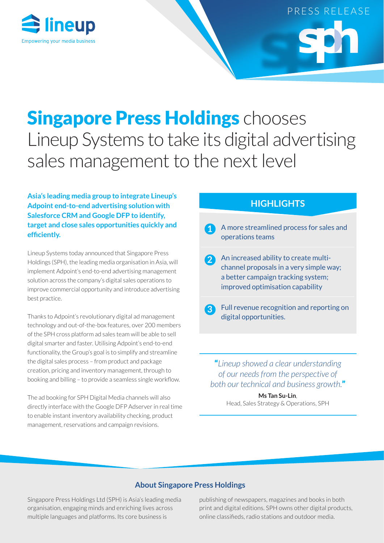

# PRESS RELEASE

## **Singapore Press Holdings chooses** Lineup Systems to take its digital advertising sales management to the next level

**Asia's leading media group to integrate Lineup's Adpoint end-to-end advertising solution with Salesforce CRM and Google DFP to identify, target and close sales opportunities quickly and efficiently.**

Lineup Systems today announced that Singapore Press Holdings (SPH), the leading media organisation in Asia, will implement Adpoint's end-to-end advertising management solution across the company's digital sales operations to improve commercial opportunity and introduce advertising best practice.

Thanks to Adpoint's revolutionary digital ad management technology and out-of-the-box features, over 200 members of the SPH cross platform ad sales team will be able to sell digital smarter and faster. Utilising Adpoint's end-to-end functionality, the Group's goal is to simplify and streamline the digital sales process – from product and package creation, pricing and inventory management, through to booking and billing – to provide a seamless single workflow.

The ad booking for SPH Digital Media channels will also directly interface with the Google DFP Adserver in real time to enable instant inventory availability checking, product management, reservations and campaign revisions.

### **HIGHLIGHTS**

- **1** A more streamlined process for sales and operations teams
- **2** An increased ability to create multichannel proposals in a very simple way; a better campaign tracking system; improved optimisation capability
- **3** Full revenue recognition and reporting on digital opportunities.

"*Lineup showed a clear understanding of our needs from the perspective of both our technical and business growth.*"

> **Ms Tan Su-Lin**, Head, Sales Strategy & Operations, SPH

#### **About Singapore Press Holdings**

Singapore Press Holdings Ltd (SPH) is Asia's leading media organisation, engaging minds and enriching lives across multiple languages and platforms. Its core business is

publishing of newspapers, magazines and books in both print and digital editions. SPH owns other digital products, online classifieds, radio stations and outdoor media.